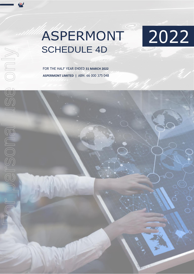## ASPERMONT SCHEDULE 4D

2022

FOR THE HALF YEAR ENDED **31 MARCH 2022 ASPERMONT LIMITED |** ABN: 66 000 375 048